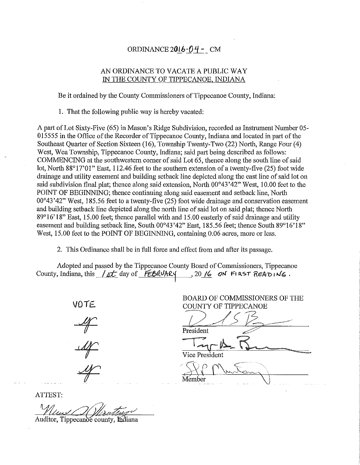# ORDINANCE  $2016 - 04 - CM$

# AN ORDINANCE TO VACATE A PUBLIC WAY IN THE COUNTY OF TIPPECANOE, INDIANA

Be it ordained by the County Commissioners of Tippecanoe County, Indiana:

1. That the following public way is hereby vacated:

A patt of Lot Sixty-Five (65) in Mason's Ridge Subdivision, recorded as Instrument Number 05- 015555 in the Office of the Recorder of Tippecanoe County, Indiana and located in part of the Southeast Quarter of Section Sixteen (16), Township Twenty-Two (22) North, Range Four (4) West, Wea Township, Tippecanoe County, Indiana; said part being described as follows: COMMENCING at the southwestern corner of said Lot 65, thence along the south line of said lot, North 88°17'01" East, 112.46 feet to the southern extension of a twenty-five (25) foot wide drainage and utility easement and building setback line depicted along the east line of said lot on said subdivision final plat; thence along said extension, North 00°43'42" West, 10.00 feet to the POINT OF BEGINNING; thence continuing along said easement and setback line, Notih 00°43 '42" West, 185.56 feet to a twenty-five (25) foot wide drainage and conservation easement and building setback line depicted along the north line of said lot on said plat; thence North 89°16' 18" East, 15.00 feet; thence parallel with and 15.00 easterly of said drainage and utility easement and building setback line, South 00°43'42" East, 185.56 feet; thence South 89°16'18" West, 15.00 feet to the POINT OF BEGINNING, containing 0.06 acres, more or less.

2. This Ordinance shall be in full force and effect from and after its passage.

Adopted and passed by the Tippecanoe County Board of Commissioners, Tippecanoe County, Indiana, this  $/4$ <sup>t</sup> day of  $FEBAVARY$ , 20 */6* on FIRST  $READING$ .

*VOIE..* 

BOARD OF COMMISSIONERS OF THE

COUNTY OF TIPPECANOE

Vice President

 $M$ ember  $\bigvee$ 

ATTEST:

Auditor, Tippecanoe county, Indiana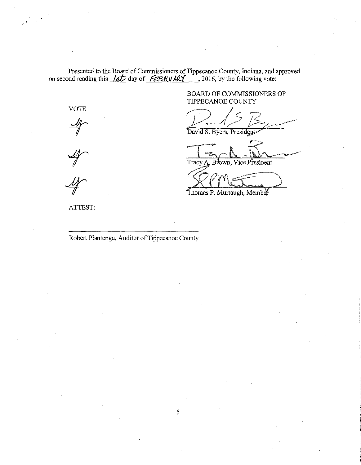Presented to the Board of Commissioners of Tippecanoe County, Indiana, and approved on second reading this *lat* day of *£BRV ARY*, 2016, by the following vote:

> BOARD OF COMMISSIONERS OF TIPPECANOE COUNTY

David S. Byers, President

Tracy A. Brown, Vice President

Thomas P. Murtaugh, Member

ATTEST:

VOTE

Robert Plantenga, Auditor of Tippecanoe County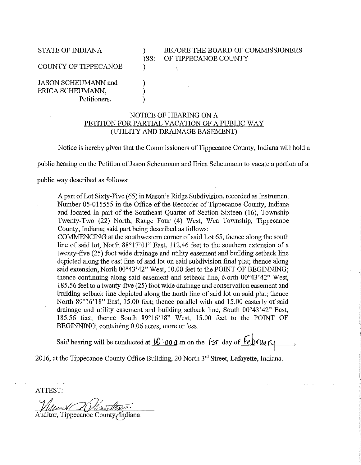# STATE OF INDIANA  $\rule{1em}{0.15mm}$  ) BEFORE THE BOARD OF COMMISSIONERS<br>)SS: OF TIPPECANOE COUNTY OF TIPPECANOE COUNTY

COUNTY OF TIPPECANOE  $\qquad \qquad$  )

JASON SCHEUMANN and ) ERICA SCHEUMANN, Petitioners.

## NOTICE OF HEARING ON A PETITION FOR PARTIAL VACATION OF A PUBLIC WAY (UTILITY AND DRAINAGE EASEMENT)

Notice is hereby given that the Commissioners of Tippecanoe County, Indiana will hold a

public hearing on the Petition of Jason Scheumann and Erica Scheumann to vacate a portion of a

public way described as follows:

A part of Lot Sixty-Five (65) in Mason's Ridge Subdivision, recorded as Instrument Number 05-015555 in the Office of the Recorder of Tippecanoe County, Indiana and located in part of the Southeast Quarter of Section Sixteen (16), Township Twenty-Two (22) North, Range Four (4) West, Wea Township, Tippecanoe County, Indiana; said part being described as follows:

COMMENCING at the southwestern corner of said Lot 65, thence along the south line of said lot, North 88°17'01" East, 112.46 feet to the southern extension of a twenty-five (25) foot wide drainage and utility easement and building setback line depicted along the east line of said lot on said subdivision final plat; thence along said extension, North 00°43'42" West, 10.00 feet to the POINT OF BEGINNING; thence continuing along said easement and setback line, Notih 00°43'42" West, 185.56 feet to a twenty-five (25) foot wide drainage and conservation easement and building setback line depicted along the north line of said lot on said plat; thence North 89°16'18" East, 15.00 feet; thence parallel with and 15.00 easterly of said drainage and utility easement and building setback line, South 00°43 '42" East, 185.56 feet; thence South 89°16'18" West, 15.00 feet to the POINT OF BEGINNING, containing 0.06 acres, more or less.

Said hearing will be conducted at  $10$  :00 *a*.m on the  $15$  day of  $\overline{6}$   $\overline{6}$ 

2016, at the Tippecanoe County Office Building, 20 North 3rd Street, Lafayette, Indiana.

ATTEST:

 $\Delta$ uditor, Tippecanoe County/Indiana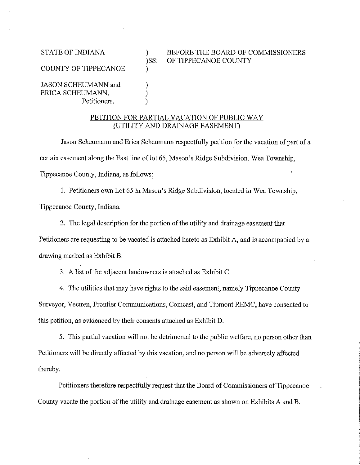STATE OF INDIANA  $\qquad \qquad$  ) BEFORE THE BOARD OF COMMISSIONERS<br>
)SS: OF TIPPECANOE COUNTY OF TIPPECANOE COUNTY

COUNTY OF TIPPECANOE )

JASON SCHEUMANN and ERICA SCHEUMANN, ) Petitioners.

## PETITION FOR PARTIAL VACATION OF PUBLIC WAY (UTILITY AND DRAINAGE EASEMENT)

Jason Scheumann and Erica Scheumann respectfully petition for the vacation of part of a certain easement along the East line of lot 65, Mason's Ridge Subdivision, Wea Township, Tippecanoe County, Indiana, as follows:

I. Petitioners own Lot 65 in Mason's Ridge Subdivision, located in Wea Township,

Tippecanoe County, Indiana.

2. The legal description for the portion of the utility and drainage easement that

Petitioners are requesting to be vacated is attached hereto as Exhibit A, and is accompanied by a

drawing marked as Exhibit B.

3. A list of the adjacent landowners is attached as Exhibit C.

4. The utilities that may have rights to the said easement, namely Tippecanoe County Surveyor, Vectren, Frontier Communications, Comcast, and Tipmont REMC, have consented to this petition, as evidenced by their consents attached as Exhibit D.

5. This partial vacation will not be detrimental to the public welfare, no person other than Petitioners will be directly affected by this vacation, and no person will be adversely affected thereby.

Petitioners therefore respectfully request that the Board of Commissioners of Tippecanoe County vacate the portion of the utility and drainage easement as shown on Exhibits A and B.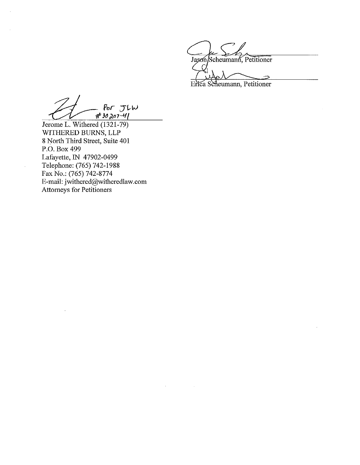Jason/Scheumann, Petitioner  $\bigcap$ 

Erica Scheumann, Petitioner

- Por JLW<br>#30207-41

Jerome L. Withered (1321-79) WITHERED BURNS, LLP 8 North Third Street, Suite 401 P.O. Box 499 Lafayette, IN 47902-0499 Telephone: (765) 742-1988 Fax No.: (765) 742-8774 E-mail: jwithered@witheredlaw.com Attorneys for Petitioners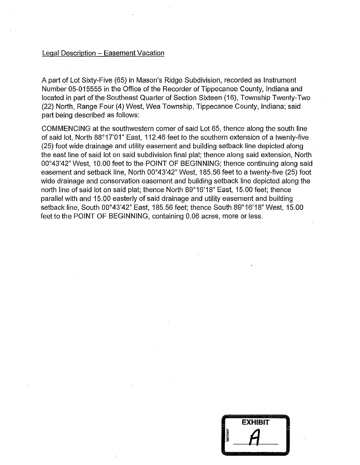## Legal Description - Easement Vacation

A part of Lot Sixty-Five (65) in Mason's Ridge Subdivision, recorded as Instrument Number 05-015555 in the Office of the Recorder of Tippecanoe County, Indiana and located in part of the Southeast Quarter of Section Sixteen (16), Township Twenty-Two (22) North, Range Four (4) West, Wea Township, Tippecanoe County, Indiana; said part being described as follows:

COMMENCING at the southwestern corner of said Lot 65, thence along the south line of said lot, North 88°17'01" East, 112.46 feet to the southern extension of a twenty-five (25) foot wide drainage and utility easement and building setback line depicted along the east line of said lot on said subdivision final plat; thence along said extension, North 00°43'42" West, 10.00 feet to the POINT OF BEGINNING; thence continuing along said easement and setback line, North 00°43'42" West, 185.56 feet to a twenty-five (25) foot wide drainage and conservation easement and building setback line depicted along the north line of said lot on said plat; thence North 89°16'18" East, 15.00 feet; thence parallel with and 15.00 easterly of said drainage and utility easement and building setback line, South 00°43'42" East, 185.56 feet; thence South 89°16'18" West, 15.00 feet to the POINT OF BEGINNING, containing 0.06 acres, more or less.

|         | EXHIBIT |
|---------|---------|
| tabbies |         |
|         |         |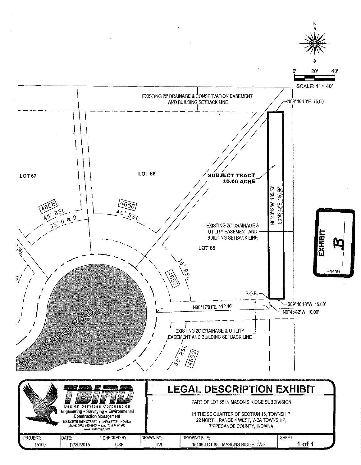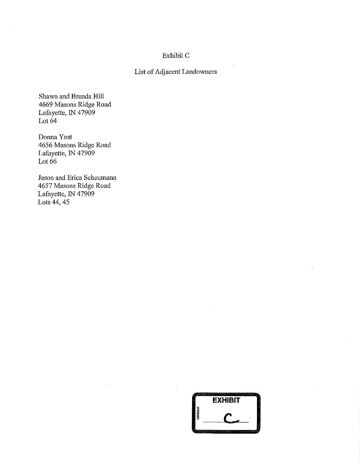# Exhibit C

# List of Adjacent Landowners

Shawn and Brenda Hill 4669 Masons Ridge Road Lafayette, IN 47909 Lot  $64$ 

Donna Yost 4656 Masons Ridge Road Lafayette, IN 47909 Lot 66

Jason and Erica Scheumann 4657 Masons Ridge Road Lafayette, IN 47909 Lots 44, 45

 $\Delta \sim 10^{-1}$  m



 $\alpha$  ,  $\alpha$  ,  $\beta$  ,  $\alpha$  ,  $\alpha$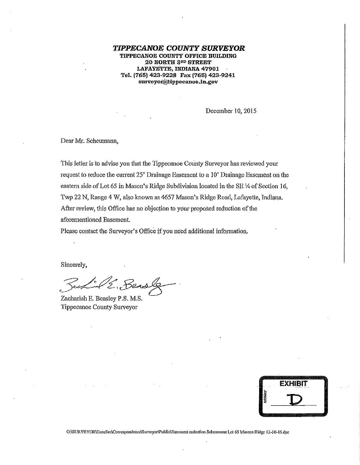*TIPPECANOE COUNTY SURVEYOR*  TIPPECANOE COUNTY OFFICE BUILDING .20 NORTH 3RD STREET LAFAYETTE, INDIANA 47901 Tel. (765) 423-9228 Fax (765) 423-9241 \$Urveyot@tippecanoe.in.g0v

December 10, 2015

Dear Mr. Scheumann,

This letter is to advise you that the Tippecanoe County Surveyor has reviewed your request to reduce the current  $25'$  Drainage Easement to a  $10'$  Drainage Easement on the eastern side of Lot 65 in Mason's Ridge Subdivision located in the SE  $\frac{1}{4}$  of Section 16, Twp 22 N, Range 4 W, also known as 4657 Mason's Ridge Road, Lafayette, Indiana. After review, this Office has no objection to your proposed reduction of the aforementioned Easement.

Please contact the Surveyor's Office if you need additional information.

Sincerely,

 $B$ ensle

Zachariah E. Beasley P.S. M.S. Tippecanoe County Sutveyar



G:\SURVEYOR\ExecSec\Correspondence\Surveyor\Public\Easement reduction Scheumann-Lot 65 Masons Ridge 12-10-15.doc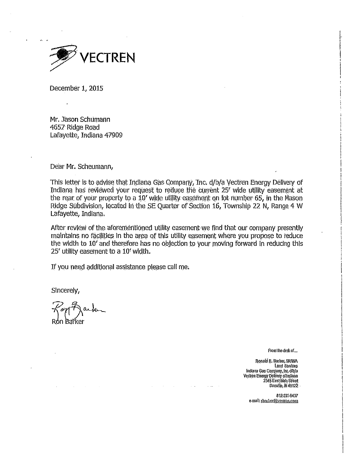

December 1, 2015

Mr. Jason Schumann 4657 Ridge Road Lafayette, Indiana 47909

Dear Mr. Scheumann,

This letter is to advise that Indiana Gas Company, Inc. d/b/a Vectren Energy Delivery of Indiana has reviewed your request to reduce the current 25' wide utility easement at the rear of your property to a 10' wide utility easement on lot number 65, in the Mason Ridge Subdivision, located in the SE Quarter of Section 16, Township 22 N, Range 4 W Lafayette, Indiana;

After review of the aforementioned utility easement we find that our company presently maintains no facilities in the area of this utility easement where you propose to reduce the width to 10' and therefore has no objection to your moving forward in reducing this  $25'$  utility easement to a  $10'$  width.

If you need additional assistance please call me.

Sincerely,

Kon Darken Ron Barker

**From-lhedeskof...** 

1. ' ! I

 $\prod_{i=1}^{\infty}$ 

Ronald R. Barker, SRIWA Land Services Indiana·Gas Company, Inc. d/b/a **Ve.Clrfen-Eilerg}'** Q~UYeiY \_QflijPiaQ~ 2345 East Main Street **Danvi!(a1 iN. 46122** 

812-231·6437 e-mall: *rharker@vectren.com*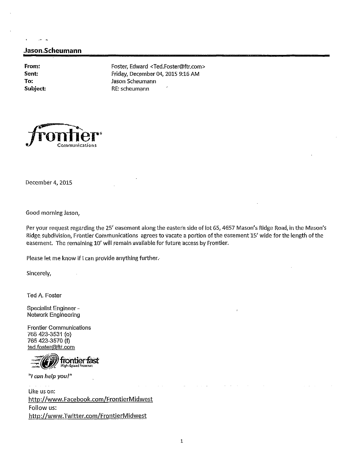## **Jason .. Scheumann**

**From: Sent: To:** 

 $\sim$  $\overline{a}$ 

Foster, Edward <Ted.Foster@ftr.com> Friday, December 04, 2015 9:16 AM Jason Scheumann **Subject:** RE: scheumann



December 4, 2015

Good morning Jason,

Per your request regarding the 25' easement along the eastern side of lot 65, 4657 Mason's Ridge Road, in the Mason's Ridge subdivision, Frontier Communications agrees to vacate a portion of the easement 15' wide for the length of the easement. The remaining 10' will remain available for future access by Frontier.

Please let me know if I can provide anything further.

Sincerely,

Ted A. Foster

Specialist Ehgineer - Network Engineering

Frontier Communications 765 423-3531 (o) 765 423-3570 (f} ted.fostet@ftr.com



*"I can help you!"* 

Like us on; http://www.Facebook.com/FrontierMidwest Follow us: http://www.Twitter.com/FrontierMidwest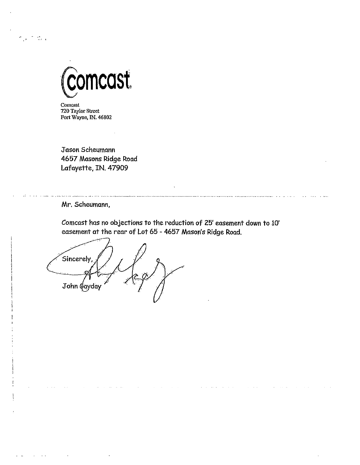

Comcast 720 Taylor Street Fort Wayne, IN. 46802

 $\frac{1}{2}$  ,  $\frac{1}{2}$  ,  $\frac{1}{2}$ 

Jason Scheumann 4657 Masons Ridge Road Lafayette, IN. 47909

Mr. Scheumann,

Comcast has no objections to the reduction of 25' easement down to 10' easement at the rear of Lot 65 - 4657 Mason's Ridge Road.

Sincerely,  $\sim$   $\rightarrow$   $\sim$ John ¢ayday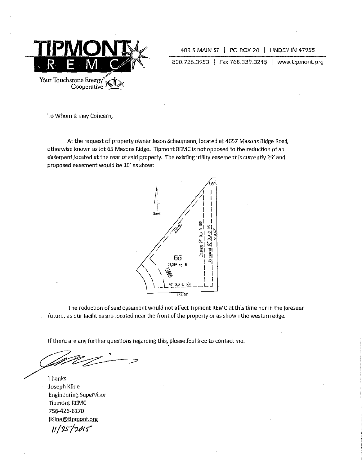

<sup>403</sup>*S* MAIN *ST* I PO BOX 20 I LINDEN IN 47955

800.726.3953 | Fax 765.339.3243 | www.tipmont.org

To Whom it may Concern,

At the request of property owner Jason Scheumann, located at 4657 Masons Ridge Road, otherwise known as lot 65 Masons Ridge. Tipmont REMC is not opposed to the reduction of an easement located at the rear of said property. The existing utility easement is currently 25' and proposed easement would be 10' as show;



The reduction of said easement wallld not affect Tipmont REMC at this time nor in the foreseen future, as our facilities are located near the front of the property or as shown the western edge.

If there are any further questions regarding this, please feel free to contact me.

Thanks Joseph Kline Engineering Supervisor Tipmont REMC 756-426-6170 jkline@tipmont.org **If/ 'JS"** */7,pr* **t:'**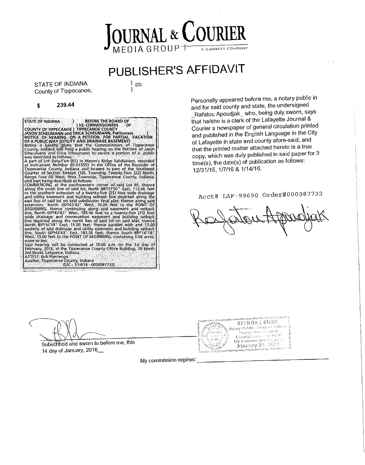# OURNAL & COURI **DIAGROUF** A GANNETT COMPANY

# PUBLISHER'S AFFIDAVIT

STATE OF INDIANA County of Tippecanoe,  $\}$  ss: }

#### \$ 239.44

STATE OF INDIANA (STECHAM STATE BOARD OF<br>COUNTY OF TIPPECANOE ) TIPPECANOE COUNTY<br>JASON SCHEUMANN and ERICA SCHEUMANN, Petitioners. (STECHAMING ON APOTTCE OF HEARING ON APTITION OF A PUBLIC WAS<br>NOTICE OF HEARING ON A PETIT way described as follows:<br>A part of Lot Sixty-Five (65) in Mason's Ridge Subdivision, recorded<br>As Instrument Number 05-015555 in the Office of the Recorder of<br>Tippecanoe County, Indiana and located in part of the Southeast east line of said lot on said subdivision final plat; thence along said<br>extension, North 00043742<sup>2</sup> West, 10.00 feet to the POINT OF<br>BEGINNING; thence continuing along said easement and setback<br>line, North 00043742<sup>2</sup> Wes said hearing will be conducted at 10:00 a.m. on the 1st day of February, 2016, at the Tippecanoe County Office Building, 20 North 3rd Street, Lafayette, Indiana. ATTEST: Bob Plantenga<br>Auditor, Tippecanoe County, Indiana<br>(UC - 1/14/16 - 0000987732)

Personally appeared before me, a notary public in and for said county and state, the undersigned Rafatou Apoudjak\_ who, being duly sworn, says

that he/she is a clerk of the Lafayette Journal & Courier a newspaper of general circulation printed and published in the English Language in the City of Lafayette in state and county afore-said, and that the printed matter attached hereto is a true copy, which was duly published in said paper for 3 time(s), the date(s) of publication as follows: 12/31/15, 1/7/16 & 1/14/16,

# Acct# LAF-99690 Order#000987732

Subscribed and sworn to before me, this 14 day of January, 2016\_

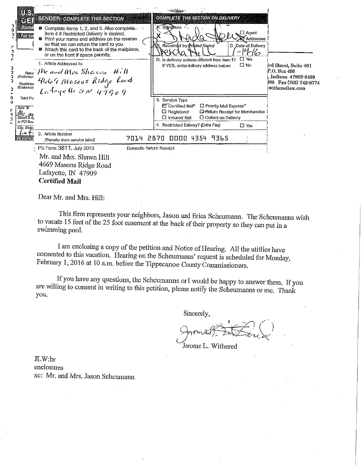| 7<br>8 | US<br>6日<br>Donis<br>Horici<br>(Endorsen<br>Restricter<br>(Endorsen            | والقويد<br>SENDER: <i>complete this section</i><br>■ Complete items 1, 2, and 3. Also complete<br>item 4 if Restricted Delivery is desired.<br><b>■</b> Print your name and address on the reverse<br>so that we can return the card to you.<br>Attach this card to the back of the mailpiece,<br>or on the front if space permits.<br>1. Article Addressed to:<br>$BReltur$ Mr and Mrs Shaws $H$ .<br>4669 Masons Ridge Road<br>La foyette av 47909 | <b>COMPLETE THIS SECTION ON DELIVERY</b><br>A. Signe}ture -<br>$\square$ Agent<br>Addressee<br>B. Received by Printed Name)<br>C. Date of Delivery<br><u> 14-16-</u><br>$\Box$ Yes<br>D. Is delivery address different from item 1?<br>□ No<br>If YES, enter delivery address below: | ird Street, Suite 401<br>P.O. Box 499<br>Indiana 47902-0499<br>88 Fax (765) 742-8774<br>witheredlaw.com |
|--------|--------------------------------------------------------------------------------|------------------------------------------------------------------------------------------------------------------------------------------------------------------------------------------------------------------------------------------------------------------------------------------------------------------------------------------------------------------------------------------------------------------------------------------------------|--------------------------------------------------------------------------------------------------------------------------------------------------------------------------------------------------------------------------------------------------------------------------------------|---------------------------------------------------------------------------------------------------------|
|        | Total Po<br>Sent To<br>Mr ar<br>Street & Ai<br>or PO Box<br>City, State<br>レーナ | 2. Article Number                                                                                                                                                                                                                                                                                                                                                                                                                                    | 3. Service Type<br><b>El</b> Certified Mall <sup>®</sup><br>□ Priority Mail Express"<br>$\Box$ Registered<br><b>LI-Return Receipt for Merchandise</b><br>$\square$ Insured Mail<br>□ Collect on Delivery<br>4 Flestricted Dalivery? (Extra Fee)<br>$\square$ Yes                     |                                                                                                         |
|        | <b>PSHOIM</b>                                                                  | 7014<br>(Transfer from service label)<br>PS Form 3811, July 2013                                                                                                                                                                                                                                                                                                                                                                                     | 4354<br>9365<br>2870<br>0000<br>Domestic Return Receipt                                                                                                                                                                                                                              |                                                                                                         |
|        |                                                                                | Mr. and Mrs. Shawn Hill<br>4669 Masons Ridge Road<br>Lafayette, IN 47909                                                                                                                                                                                                                                                                                                                                                                             |                                                                                                                                                                                                                                                                                      |                                                                                                         |

Dear Mr. and Mrs. Hill:

Certified Mail

This firm represents your neighbors, Jason and Erica Scheumann. The Scheumanns wish to vacate 15 feet of the 25 foot easement at the back of their property so they can put in a swimming pool.

I am enclosing a copy of the petition and Notice of Hearing. All the utitlies have consented to this vacation. Hearing on the Scheumanns' request is scheduled for Monday, February 1, 2016 at IO a.m. before the Tippecanoe County Commissioners.

If you have any questions, the Scheumanns or I would be happy to answer them. If you are willing to consent in writing to this petition, please notify the Scheumanns or me. Thank you.

Sincerely,

 $\mathbb{R}^{'}$  $%$ 

Jerome L. Withered

JLW:br enclosures xc: Mr. and Mrs. Jason Scheumann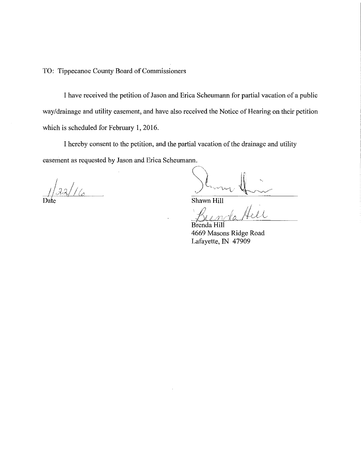TO: Tippecanoe County Board of Commissioners

I have received the petition of Jason and Erica Scheumann for partial vacation of a public way/drainage and utility easement, and have also received the Notice of Hearing on their petition which is scheduled for February 1, 2016.

I hereby consent to the petition, and the partial vacation of the drainage and utility easement as requested by Jason and Erica Scheumann.

I 1 */!1,:;J,U (;* 

Shawn Hill

Bunda Hell

4669 Masons Ridge Road Lafayette, IN 47909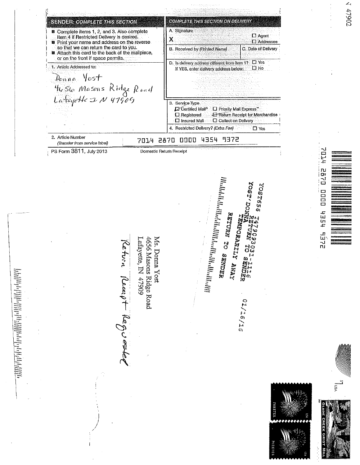147902 . ' i' I **COMPLETE THIS SECTION ON DELIVERY** SENDER: COMPLETE THIS SECTION ! A. Signature \ Ill Complete items 1, 2, and 3. Also complete I item 4 if Restricted Delivery Is desired. D Agent  $x = 1$ D Addressee . **E** Print your name and address on the reverse so that we can return the card to you. B. Received by (Printed Name)  $\Box$  C, Date of Delivery Attach this card to the back of the mallpiece, or on the front if space permits. D, Is delivery address different from Item 1?  $\Box$  Yes<br>3 If YES, enter delivery address below:  $\Box$  No 1. Article Addressed to: If YES, enter delivery address below; *Donne* Yost *'l-1.,St.p* f\1c.sms ,<.;,l(f [2,,,4 L .. fc '/&-1-t' -::J, *;V 11 19 o c;*  3. Service Type D'Gertilled Mall<sup>o</sup> D Priority Mall Express" D Registered B"Refu;n Receipt for Merchandise · D Insured Mall  $\square$  Collect on Delivery 4. Restricted Delivery? (Extra Fee) DYes 2. Article Number<br>(Transfer from service label) {Transfer from service label) 7014 2870 DODD 4354 9372 PS Form 3811, July 2013 Domestic Returh Receipt  $h$ **TD2 1492**  $\ddot{m}_{\rm B}$ **SSSTESS** =- ig<br>DOOD =<br>= rin.<br>1 إ *بالأباليا*<br>إ  $hSEh$ **RETURN TO SENDER** |<br>|<br>|<br>|<br>|<br>|<br>|<br><br>| 5755 I Ms. Donna Yost  $\ddot{\epsilon}$  $\tilde{\mathbf{z}}_{\parallel}$ *:.==* Ill ::: - ~ I - --  $\mathbf{z}$  |  $51/3770$ الدهري وجلول *,)*